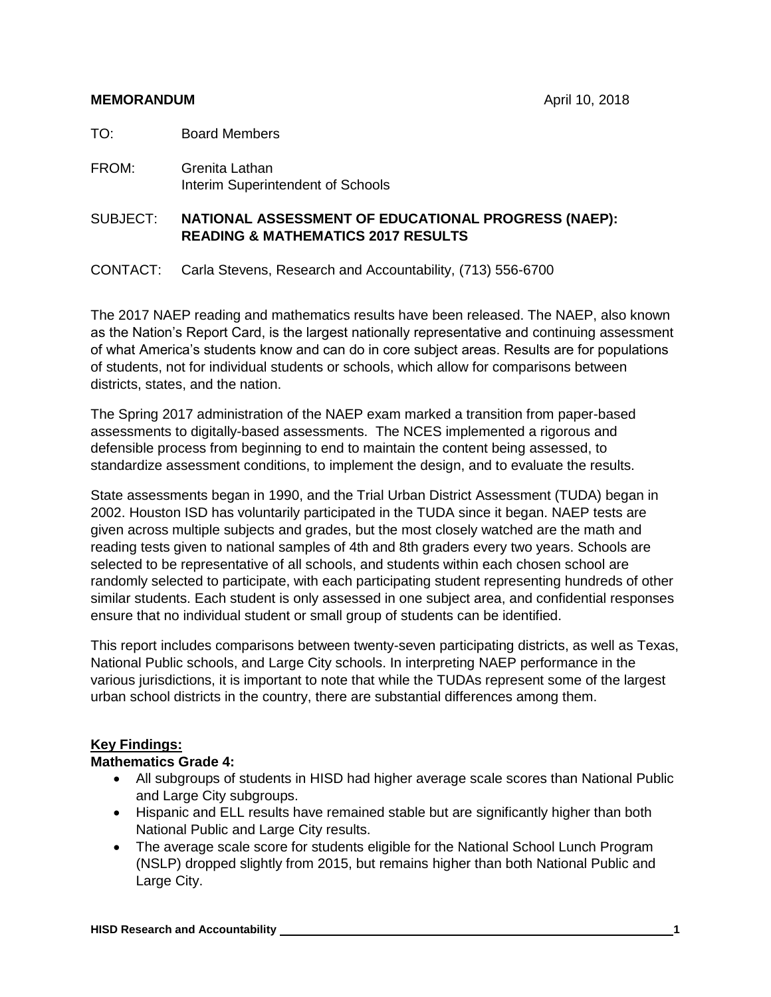- TO: Board Members
- FROM: Grenita Lathan Interim Superintendent of Schools

SUBJECT: **NATIONAL ASSESSMENT OF EDUCATIONAL PROGRESS (NAEP): READING & MATHEMATICS 2017 RESULTS**

CONTACT: Carla Stevens, Research and Accountability, (713) 556-6700

The 2017 NAEP reading and mathematics results have been released. The NAEP, also known as the Nation's Report Card, is the largest nationally representative and continuing assessment of what America's students know and can do in core subject areas. Results are for populations of students, not for individual students or schools, which allow for comparisons between districts, states, and the nation.

The Spring 2017 administration of the NAEP exam marked a transition from paper-based assessments to digitally-based assessments. The NCES implemented a rigorous and defensible process from beginning to end to maintain the content being assessed, to standardize assessment conditions, to implement the design, and to evaluate the results.

State assessments began in 1990, and the Trial Urban District Assessment (TUDA) began in 2002. Houston ISD has voluntarily participated in the TUDA since it began. NAEP tests are given across multiple subjects and grades, but the most closely watched are the math and reading tests given to national samples of 4th and 8th graders every two years. Schools are selected to be representative of all schools, and students within each chosen school are randomly selected to participate, with each participating student representing hundreds of other similar students. Each student is only assessed in one subject area, and confidential responses ensure that no individual student or small group of students can be identified.

This report includes comparisons between twenty-seven participating districts, as well as Texas, National Public schools, and Large City schools. In interpreting NAEP performance in the various jurisdictions, it is important to note that while the TUDAs represent some of the largest urban school districts in the country, there are substantial differences among them.

#### **Key Findings:**

#### **Mathematics Grade 4:**

- All subgroups of students in HISD had higher average scale scores than National Public and Large City subgroups.
- Hispanic and ELL results have remained stable but are significantly higher than both National Public and Large City results.
- The average scale score for students eligible for the National School Lunch Program (NSLP) dropped slightly from 2015, but remains higher than both National Public and Large City.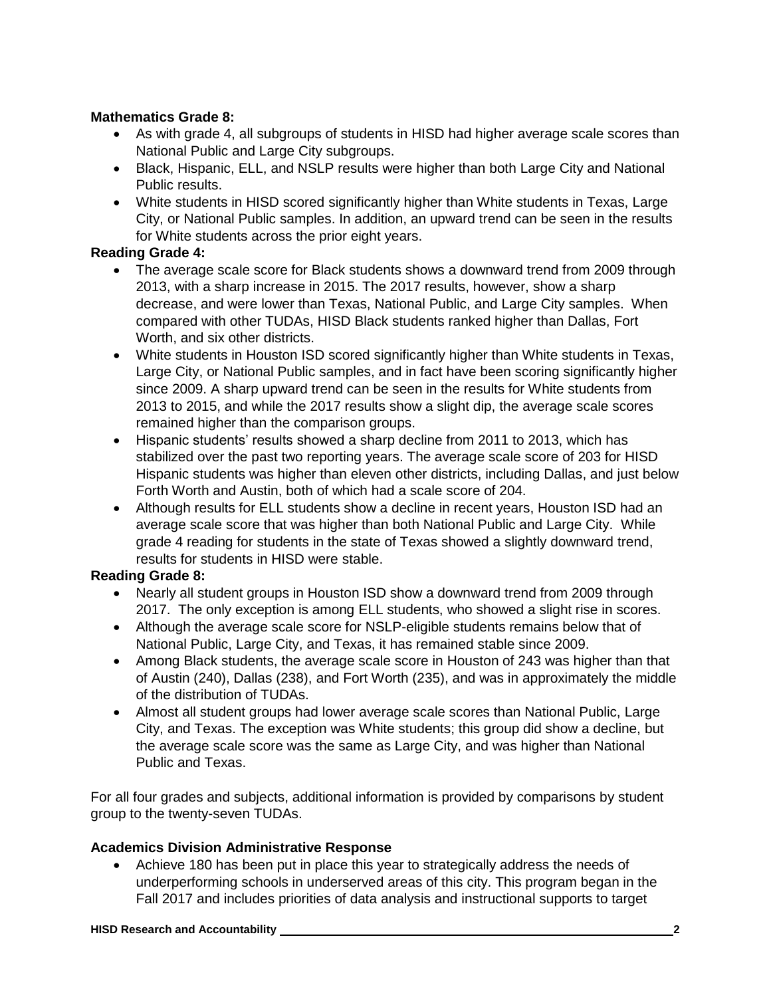### **Mathematics Grade 8:**

- As with grade 4, all subgroups of students in HISD had higher average scale scores than National Public and Large City subgroups.
- Black, Hispanic, ELL, and NSLP results were higher than both Large City and National Public results.
- White students in HISD scored significantly higher than White students in Texas, Large City, or National Public samples. In addition, an upward trend can be seen in the results for White students across the prior eight years.

### **Reading Grade 4:**

- The average scale score for Black students shows a downward trend from 2009 through 2013, with a sharp increase in 2015. The 2017 results, however, show a sharp decrease, and were lower than Texas, National Public, and Large City samples. When compared with other TUDAs, HISD Black students ranked higher than Dallas, Fort Worth, and six other districts.
- White students in Houston ISD scored significantly higher than White students in Texas, Large City, or National Public samples, and in fact have been scoring significantly higher since 2009. A sharp upward trend can be seen in the results for White students from 2013 to 2015, and while the 2017 results show a slight dip, the average scale scores remained higher than the comparison groups.
- Hispanic students' results showed a sharp decline from 2011 to 2013, which has stabilized over the past two reporting years. The average scale score of 203 for HISD Hispanic students was higher than eleven other districts, including Dallas, and just below Forth Worth and Austin, both of which had a scale score of 204.
- Although results for ELL students show a decline in recent vears, Houston ISD had an average scale score that was higher than both National Public and Large City. While grade 4 reading for students in the state of Texas showed a slightly downward trend, results for students in HISD were stable.

### **Reading Grade 8:**

- Nearly all student groups in Houston ISD show a downward trend from 2009 through 2017. The only exception is among ELL students, who showed a slight rise in scores.
- Although the average scale score for NSLP-eligible students remains below that of National Public, Large City, and Texas, it has remained stable since 2009.
- Among Black students, the average scale score in Houston of 243 was higher than that of Austin (240), Dallas (238), and Fort Worth (235), and was in approximately the middle of the distribution of TUDAs.
- Almost all student groups had lower average scale scores than National Public, Large City, and Texas. The exception was White students; this group did show a decline, but the average scale score was the same as Large City, and was higher than National Public and Texas.

For all four grades and subjects, additional information is provided by comparisons by student group to the twenty-seven TUDAs.

#### **Academics Division Administrative Response**

• Achieve 180 has been put in place this year to strategically address the needs of underperforming schools in underserved areas of this city. This program began in the Fall 2017 and includes priorities of data analysis and instructional supports to target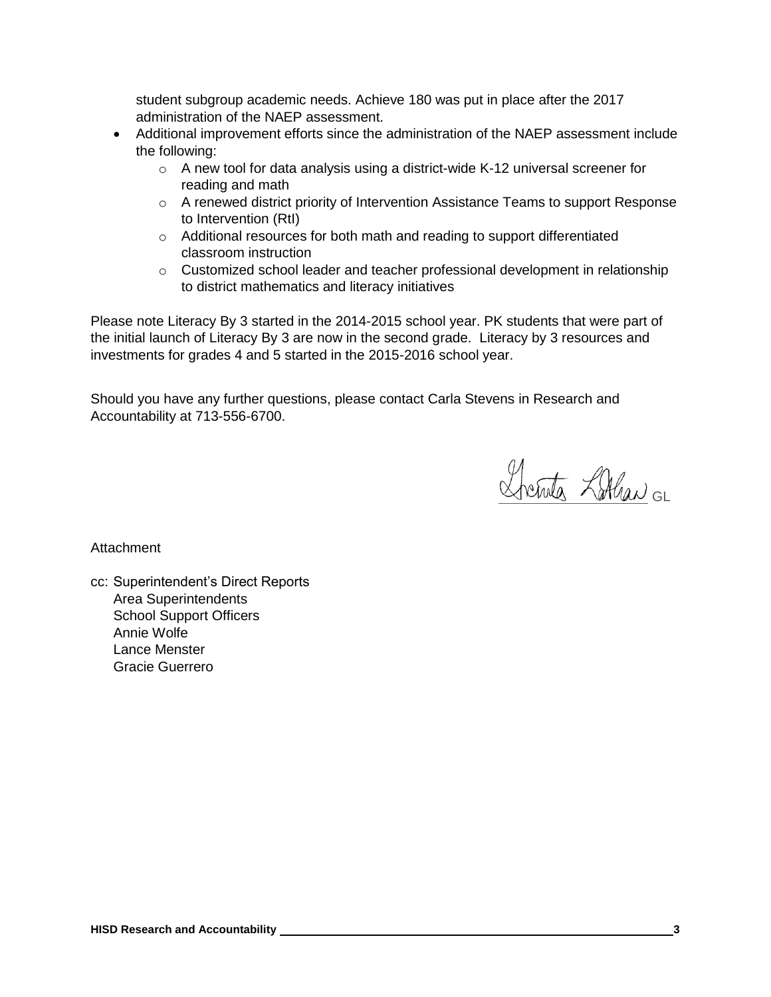student subgroup academic needs. Achieve 180 was put in place after the 2017 administration of the NAEP assessment.

- Additional improvement efforts since the administration of the NAEP assessment include the following:
	- o A new tool for data analysis using a district-wide K-12 universal screener for reading and math
	- o A renewed district priority of Intervention Assistance Teams to support Response to Intervention (RtI)
	- o Additional resources for both math and reading to support differentiated classroom instruction
	- o Customized school leader and teacher professional development in relationship to district mathematics and literacy initiatives

Please note Literacy By 3 started in the 2014-2015 school year. PK students that were part of the initial launch of Literacy By 3 are now in the second grade. Literacy by 3 resources and investments for grades 4 and 5 started in the 2015-2016 school year.

Should you have any further questions, please contact Carla Stevens in Research and Accountability at 713-556-6700.

fretuta Zallan GL

**Attachment** 

cc: Superintendent's Direct Reports Area Superintendents School Support Officers Annie Wolfe Lance Menster Gracie Guerrero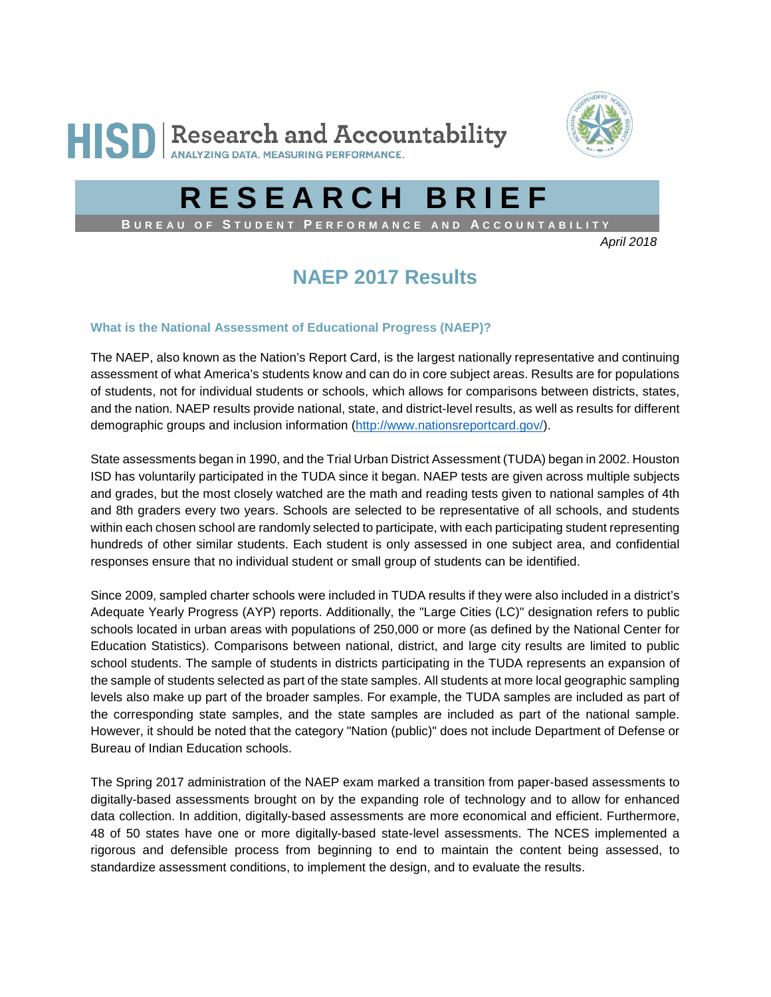



# **RESEARCH BRIEF**

**B UREAU OF S TUDENT P ERFORMANCE AND A CCOUNTABILITY**

*April 2018*

## **NAEP 2017 Results**

#### **What is the National Assessment of Educational Progress (NAEP)?**

The NAEP, also known as the Nation's Report Card, is the largest nationally representative and continuing assessment of what America's students know and can do in core subject areas. Results are for populations of students, not for individual students or schools, which allows for comparisons between districts, states, and the nation. NAEP results provide national, state, and district-level results, as well as results for different demographic groups and inclusion information [\(http://www.nationsreportcard.gov/\)](http://www.nationsreportcard.gov/).

State assessments began in 1990, and the Trial Urban District Assessment (TUDA) began in 2002. Houston ISD has voluntarily participated in the TUDA since it began. NAEP tests are given across multiple subjects and grades, but the most closely watched are the math and reading tests given to national samples of 4th and 8th graders every two years. Schools are selected to be representative of all schools, and students within each chosen school are randomly selected to participate, with each participating student representing hundreds of other similar students. Each student is only assessed in one subject area, and confidential responses ensure that no individual student or small group of students can be identified.

Since 2009, sampled charter schools were included in TUDA results if they were also included in a district's Adequate Yearly Progress (AYP) reports. Additionally, the "Large Cities (LC)" designation refers to public schools located in urban areas with populations of 250,000 or more (as defined by the National Center for Education Statistics). Comparisons between national, district, and large city results are limited to public school students. The sample of students in districts participating in the TUDA represents an expansion of the sample of students selected as part of the state samples. All students at more local geographic sampling levels also make up part of the broader samples. For example, the TUDA samples are included as part of the corresponding state samples, and the state samples are included as part of the national sample. However, it should be noted that the category "Nation (public)" does not include Department of Defense or Bureau of Indian Education schools.

The Spring 2017 administration of the NAEP exam marked a transition from paper-based assessments to digitally-based assessments brought on by the expanding role of technology and to allow for enhanced data collection. In addition, digitally-based assessments are more economical and efficient. Furthermore, 48 of 50 states have one or more digitally-based state-level assessments. The NCES implemented a rigorous and defensible process from beginning to end to maintain the content being assessed, to standardize assessment conditions, to implement the design, and to evaluate the results.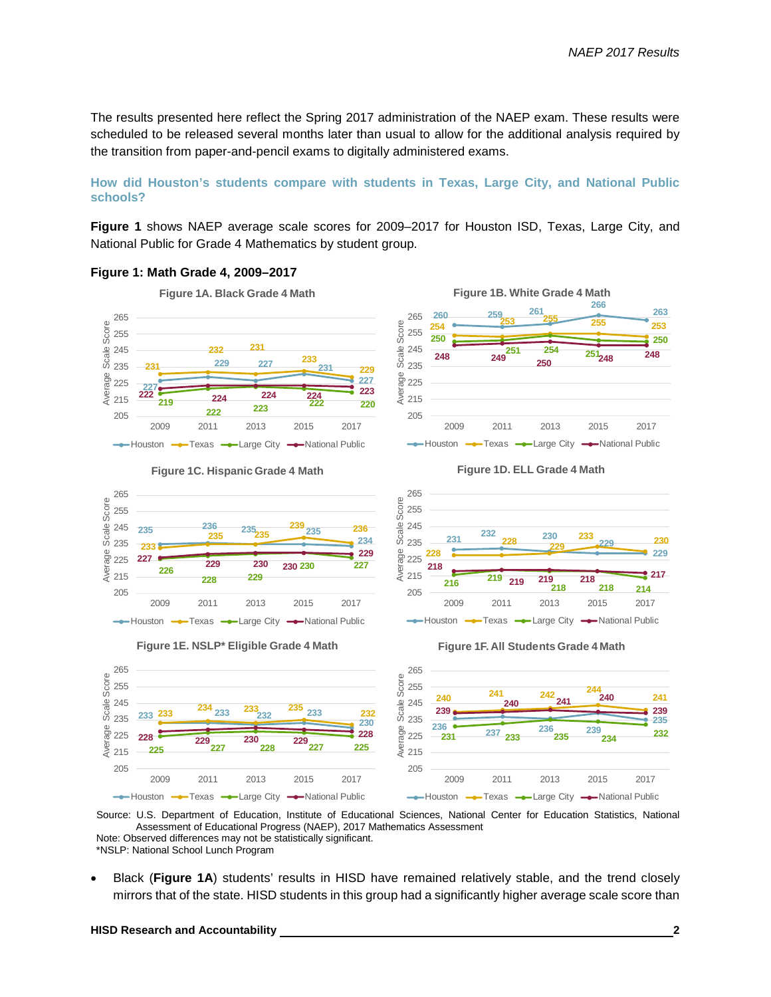The results presented here reflect the Spring 2017 administration of the NAEP exam. These results were scheduled to be released several months later than usual to allow for the additional analysis required by the transition from paper-and-pencil exams to digitally administered exams.

#### **How did Houston's students compare with students in Texas, Large City, and National Public schools?**

**Figure 1** shows NAEP average scale scores for 2009–2017 for Houston ISD, Texas, Large City, and National Public for Grade 4 Mathematics by student group.

#### **Figure 1: Math Grade 4, 2009–2017**



**Figure 1C. Hispanic Grade 4 Math**







**Figure 1D. ELL Grade 4 Math**









\*NSLP: National School Lunch Program

• Black (**Figure 1A**) students' results in HISD have remained relatively stable, and the trend closely mirrors that of the state. HISD students in this group had a significantly higher average scale score than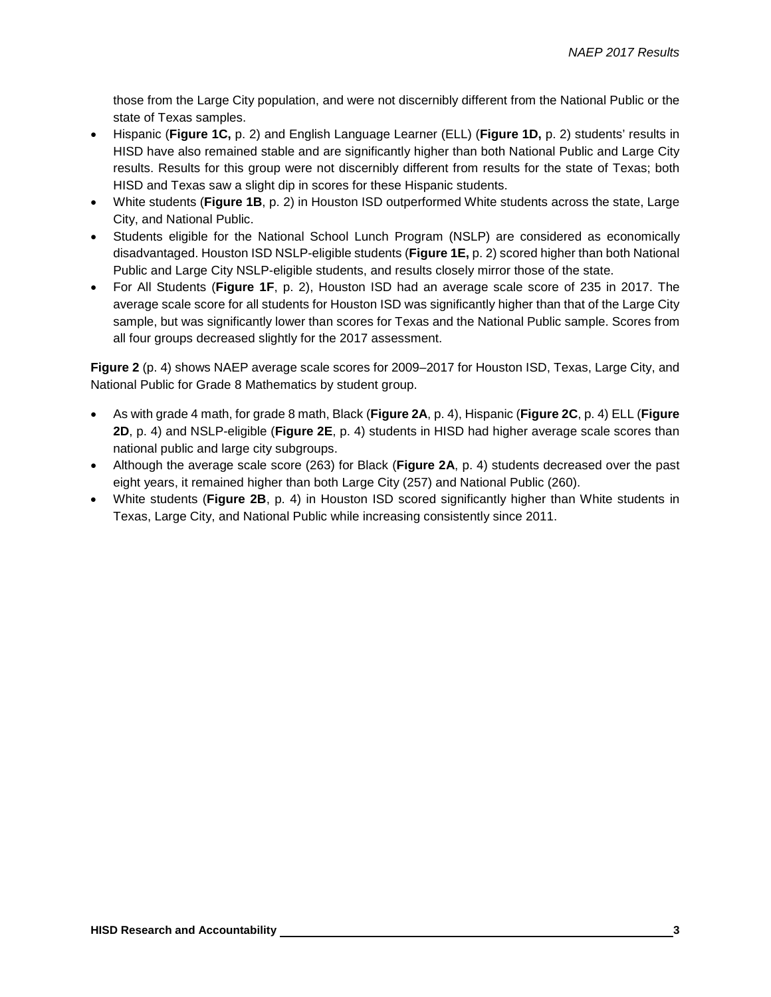those from the Large City population, and were not discernibly different from the National Public or the state of Texas samples.

- Hispanic (**Figure 1C,** p. 2) and English Language Learner (ELL) (**Figure 1D,** p. 2) students' results in HISD have also remained stable and are significantly higher than both National Public and Large City results. Results for this group were not discernibly different from results for the state of Texas; both HISD and Texas saw a slight dip in scores for these Hispanic students.
- White students (**Figure 1B**, p. 2) in Houston ISD outperformed White students across the state, Large City, and National Public.
- Students eligible for the National School Lunch Program (NSLP) are considered as economically disadvantaged. Houston ISD NSLP-eligible students (**Figure 1E,** p. 2) scored higher than both National Public and Large City NSLP-eligible students, and results closely mirror those of the state.
- For All Students (**Figure 1F**, p. 2), Houston ISD had an average scale score of 235 in 2017. The average scale score for all students for Houston ISD was significantly higher than that of the Large City sample, but was significantly lower than scores for Texas and the National Public sample. Scores from all four groups decreased slightly for the 2017 assessment.

**Figure 2** (p. 4) shows NAEP average scale scores for 2009–2017 for Houston ISD, Texas, Large City, and National Public for Grade 8 Mathematics by student group.

- As with grade 4 math, for grade 8 math, Black (**Figure 2A**, p. 4), Hispanic (**Figure 2C**, p. 4) ELL (**Figure 2D**, p. 4) and NSLP-eligible (**Figure 2E**, p. 4) students in HISD had higher average scale scores than national public and large city subgroups.
- Although the average scale score (263) for Black (**Figure 2A**, p. 4) students decreased over the past eight years, it remained higher than both Large City (257) and National Public (260).
- White students (**Figure 2B**, p. 4) in Houston ISD scored significantly higher than White students in Texas, Large City, and National Public while increasing consistently since 2011.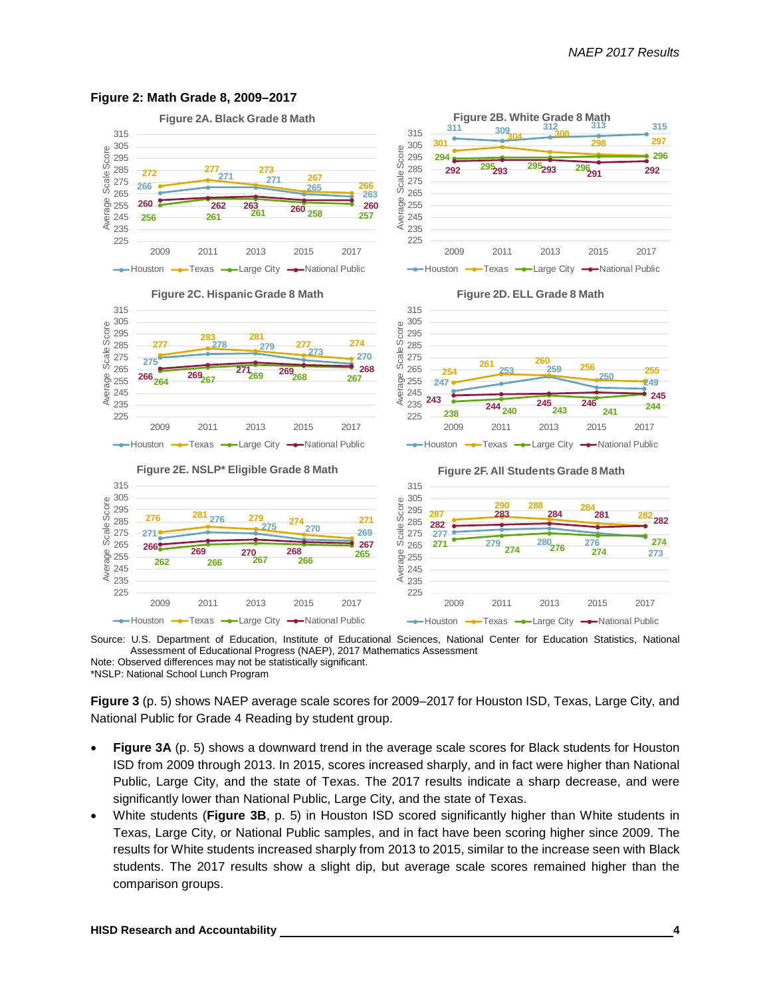

#### **Figure 2: Math Grade 8, 2009–2017**

Source: U.S. Department of Education, Institute of Educational Sciences, National Center for Education Statistics, National Assessment of Educational Progress (NAEP), 2017 Mathematics Assessment Note: Observed differences may not be statistically significant.

\*NSLP: National School Lunch Program

**Figure 3** (p. 5) shows NAEP average scale scores for 2009–2017 for Houston ISD, Texas, Large City, and National Public for Grade 4 Reading by student group.

- **Figure 3A** (p. 5) shows a downward trend in the average scale scores for Black students for Houston ISD from 2009 through 2013. In 2015, scores increased sharply, and in fact were higher than National Public, Large City, and the state of Texas. The 2017 results indicate a sharp decrease, and were significantly lower than National Public, Large City, and the state of Texas.
- White students (**Figure 3B**, p. 5) in Houston ISD scored significantly higher than White students in Texas, Large City, or National Public samples, and in fact have been scoring higher since 2009. The results for White students increased sharply from 2013 to 2015, similar to the increase seen with Black students. The 2017 results show a slight dip, but average scale scores remained higher than the comparison groups.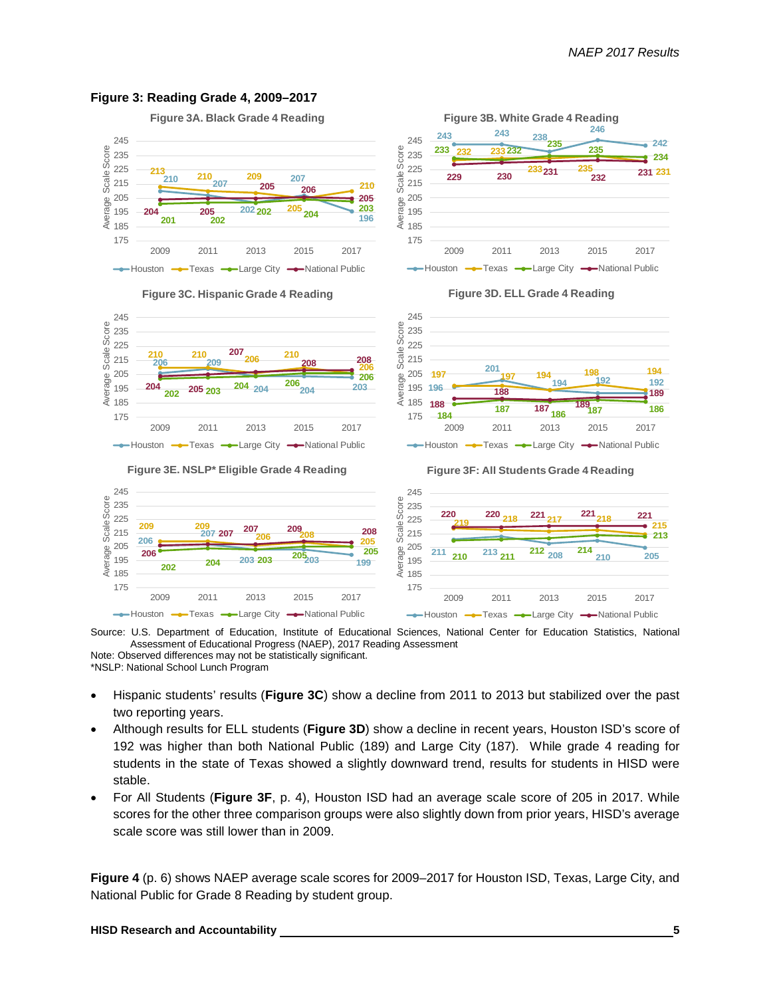

#### **Figure 3: Reading Grade 4, 2009–2017**

**Figure 3A. Black Grade 4 Reading**



**Figure 3B. White Grade 4 Reading**

Source: U.S. Department of Education, Institute of Educational Sciences, National Center for Education Statistics, National Assessment of Educational Progress (NAEP), 2017 Reading Assessment Note: Observed differences may not be statistically significant.

\*NSLP: National School Lunch Program

- Hispanic students' results (**Figure 3C**) show a decline from 2011 to 2013 but stabilized over the past two reporting years.
- Although results for ELL students (**Figure 3D**) show a decline in recent years, Houston ISD's score of 192 was higher than both National Public (189) and Large City (187). While grade 4 reading for students in the state of Texas showed a slightly downward trend, results for students in HISD were stable.
- For All Students (**Figure 3F**, p. 4), Houston ISD had an average scale score of 205 in 2017. While scores for the other three comparison groups were also slightly down from prior years, HISD's average scale score was still lower than in 2009.

**Figure 4** (p. 6) shows NAEP average scale scores for 2009–2017 for Houston ISD, Texas, Large City, and National Public for Grade 8 Reading by student group.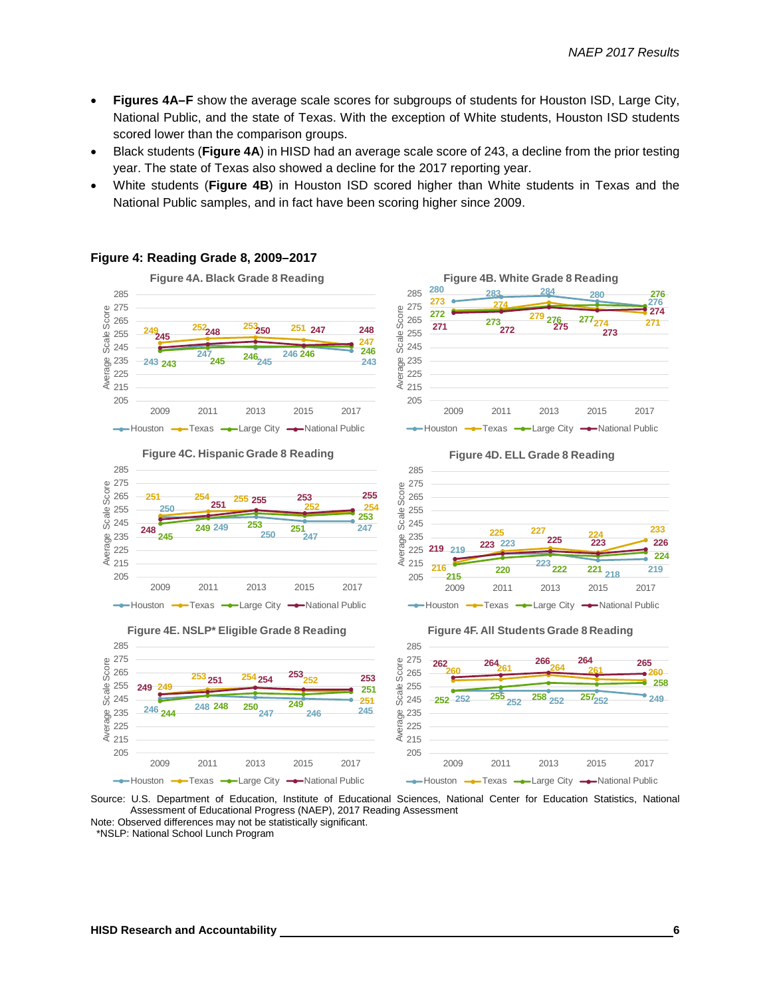- **Figures 4A–F** show the average scale scores for subgroups of students for Houston ISD, Large City, National Public, and the state of Texas. With the exception of White students, Houston ISD students scored lower than the comparison groups.
- Black students (**Figure 4A**) in HISD had an average scale score of 243, a decline from the prior testing year. The state of Texas also showed a decline for the 2017 reporting year.
- White students (**Figure 4B**) in Houston ISD scored higher than White students in Texas and the National Public samples, and in fact have been scoring higher since 2009.





**Figure 4E. NSLP\* Eligible Grade 8 Reading**









Source: U.S. Department of Education, Institute of Educational Sciences, National Center for Education Statistics, National Assessment of Educational Progress (NAEP), 2017 Reading Assessment

Note: Observed differences may not be statistically significant. \*NSLP: National School Lunch Program

Average Scale Score

Average

Scale:

**Figure 4: Reading Grade 8, 2009–2017**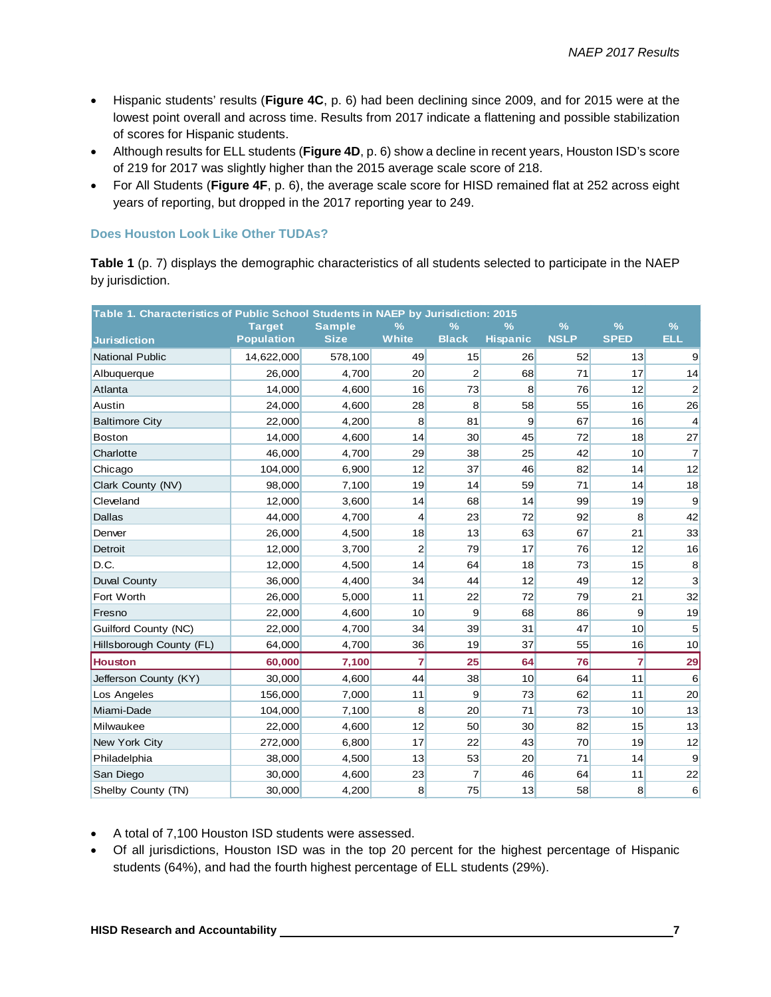- Hispanic students' results (**Figure 4C**, p. 6) had been declining since 2009, and for 2015 were at the lowest point overall and across time. Results from 2017 indicate a flattening and possible stabilization of scores for Hispanic students.
- Although results for ELL students (**Figure 4D**, p. 6) show a decline in recent years, Houston ISD's score of 219 for 2017 was slightly higher than the 2015 average scale score of 218.
- For All Students (**Figure 4F**, p. 6), the average scale score for HISD remained flat at 252 across eight years of reporting, but dropped in the 2017 reporting year to 249.

#### **Does Houston Look Like Other TUDAs?**

**Table 1** (p. 7) displays the demographic characteristics of all students selected to participate in the NAEP by jurisdiction.

| Table 1. Characteristics of Public School Students in NAEP by Jurisdiction: 2015 | <b>Target</b>     | <b>Sample</b> | %              | $\frac{9}{6}$   | $\frac{9}{6}$   | $\frac{9}{6}$ | $\frac{9}{6}$  | $\frac{9}{6}$           |
|----------------------------------------------------------------------------------|-------------------|---------------|----------------|-----------------|-----------------|---------------|----------------|-------------------------|
| <b>Jurisdiction</b>                                                              | <b>Population</b> | <b>Size</b>   | <b>White</b>   | <b>Black</b>    | <b>Hispanic</b> | <b>NSLP</b>   | <b>SPED</b>    | <b>ELL</b>              |
| <b>National Public</b>                                                           | 14,622,000        | 578,100       | 49             | 15              | 26              | 52            | 13             | $\overline{9}$          |
| Albuquerque                                                                      | 26,000            | 4,700         | 20             | $\overline{2}$  | 68              | 71            | 17             | 14                      |
| Atlanta                                                                          | 14,000            | 4,600         | 16             | 73              | 8               | 76            | 12             | $\overline{\mathbf{c}}$ |
| Austin                                                                           | 24.000            | 4.600         | 28             | 8               | 58              | 55            | 16             | 26                      |
| <b>Baltimore City</b>                                                            | 22,000            | 4,200         | 8              | 81              | 9               | 67            | 16             | $\vert 4 \vert$         |
| <b>Boston</b>                                                                    | 14,000            | 4,600         | 14             | 30 <sub>2</sub> | 45              | 72            | 18             | 27                      |
| Charlotte                                                                        | 46,000            | 4,700         | 29             | 38              | 25              | 42            | 10             | $\overline{7}$          |
| Chicago                                                                          | 104.000           | 6,900         | 12             | 37              | 46              | 82            | 14             | 12                      |
| Clark County (NV)                                                                | 98,000            | 7,100         | 19             | 14              | 59              | 71            | 14             | 18                      |
| Cleveland                                                                        | 12,000            | 3,600         | 14             | 68              | 14              | 99            | 19             | 9                       |
| <b>Dallas</b>                                                                    | 44,000            | 4,700         | $\overline{4}$ | 23              | 72              | 92            | 8              | 42                      |
| Denver                                                                           | 26,000            | 4,500         | 18             | 13              | 63              | 67            | 21             | 33                      |
| Detroit                                                                          | 12,000            | 3,700         | $\overline{2}$ | 79              | 17              | 76            | 12             | 16                      |
| D.C.                                                                             | 12,000            | 4,500         | 14             | 64              | 18              | 73            | 15             | 8                       |
| <b>Duval County</b>                                                              | 36,000            | 4,400         | 34             | 44              | 12              | 49            | 12             | 3                       |
| Fort Worth                                                                       | 26,000            | 5,000         | 11             | 22              | 72              | 79            | 21             | 32                      |
| Fresno                                                                           | 22,000            | 4,600         | 10             | 9               | 68              | 86            | $\overline{9}$ | 19                      |
| Guilford County (NC)                                                             | 22,000            | 4,700         | 34             | 39              | 31              | 47            | 10             | 5                       |
| Hillsborough County (FL)                                                         | 64,000            | 4,700         | 36             | 19              | 37              | 55            | 16             | 10                      |
| <b>Houston</b>                                                                   | 60,000            | 7,100         | $\overline{7}$ | 25              | 64              | 76            | $\overline{7}$ | 29                      |
| Jefferson County (KY)                                                            | 30,000            | 4,600         | 44             | 38              | 10              | 64            | 11             | 6                       |
| Los Angeles                                                                      | 156,000           | 7,000         | 11             | 9               | 73              | 62            | 11             | 20                      |
| Miami-Dade                                                                       | 104.000           | 7,100         | 8              | 20              | 71              | 73            | 10             | 13                      |
| Milwaukee                                                                        | 22,000            | 4,600         | 12             | 50              | 30              | 82            | 15             | 13                      |
| New York City                                                                    | 272,000           | 6,800         | 17             | 22              | 43              | 70            | 19             | 12                      |
| Philadelphia                                                                     | 38,000            | 4,500         | 13             | 53              | 20              | 71            | 14             | $\overline{9}$          |
| San Diego                                                                        | 30.000            | 4.600         | 23             | $\overline{7}$  | 46              | 64            | 11             | 22                      |
| Shelby County (TN)                                                               | 30,000            | 4,200         | 8              | 75              | 13              | 58            | 8              | 6                       |

- A total of 7,100 Houston ISD students were assessed.
- Of all jurisdictions, Houston ISD was in the top 20 percent for the highest percentage of Hispanic students (64%), and had the fourth highest percentage of ELL students (29%).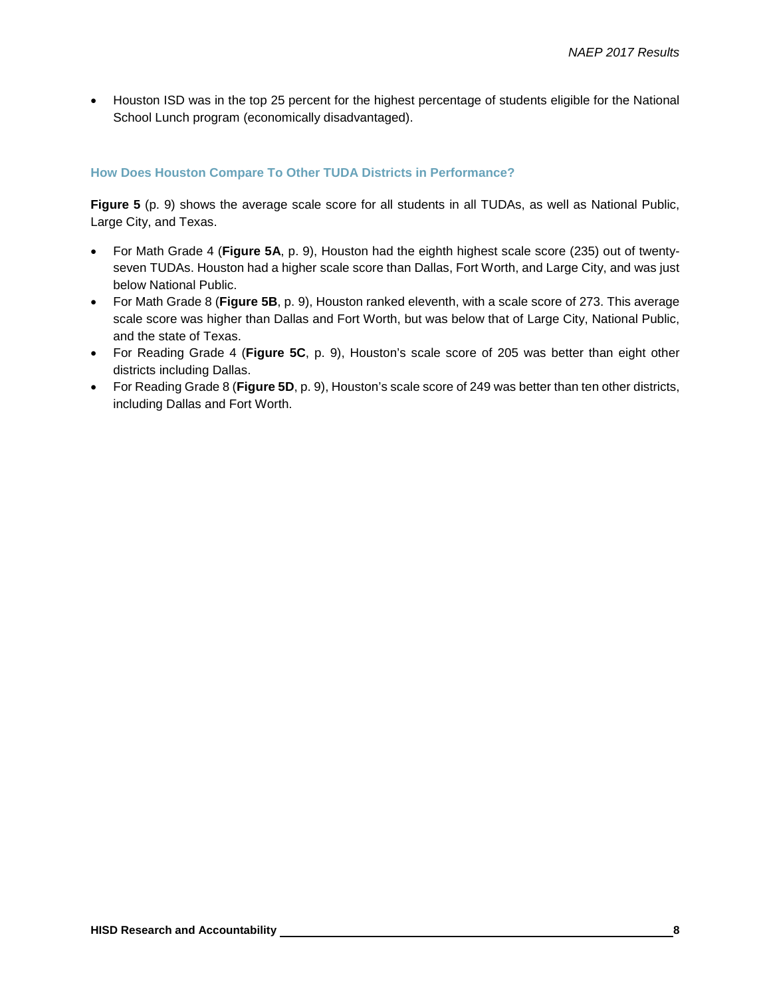• Houston ISD was in the top 25 percent for the highest percentage of students eligible for the National School Lunch program (economically disadvantaged).

#### **How Does Houston Compare To Other TUDA Districts in Performance?**

**Figure 5** (p. 9) shows the average scale score for all students in all TUDAs, as well as National Public, Large City, and Texas.

- For Math Grade 4 (**Figure 5A**, p. 9), Houston had the eighth highest scale score (235) out of twentyseven TUDAs. Houston had a higher scale score than Dallas, Fort Worth, and Large City, and was just below National Public.
- For Math Grade 8 (**Figure 5B**, p. 9), Houston ranked eleventh, with a scale score of 273. This average scale score was higher than Dallas and Fort Worth, but was below that of Large City, National Public, and the state of Texas.
- For Reading Grade 4 (**Figure 5C**, p. 9), Houston's scale score of 205 was better than eight other districts including Dallas.
- For Reading Grade 8 (**Figure 5D**, p. 9), Houston's scale score of 249 was better than ten other districts, including Dallas and Fort Worth.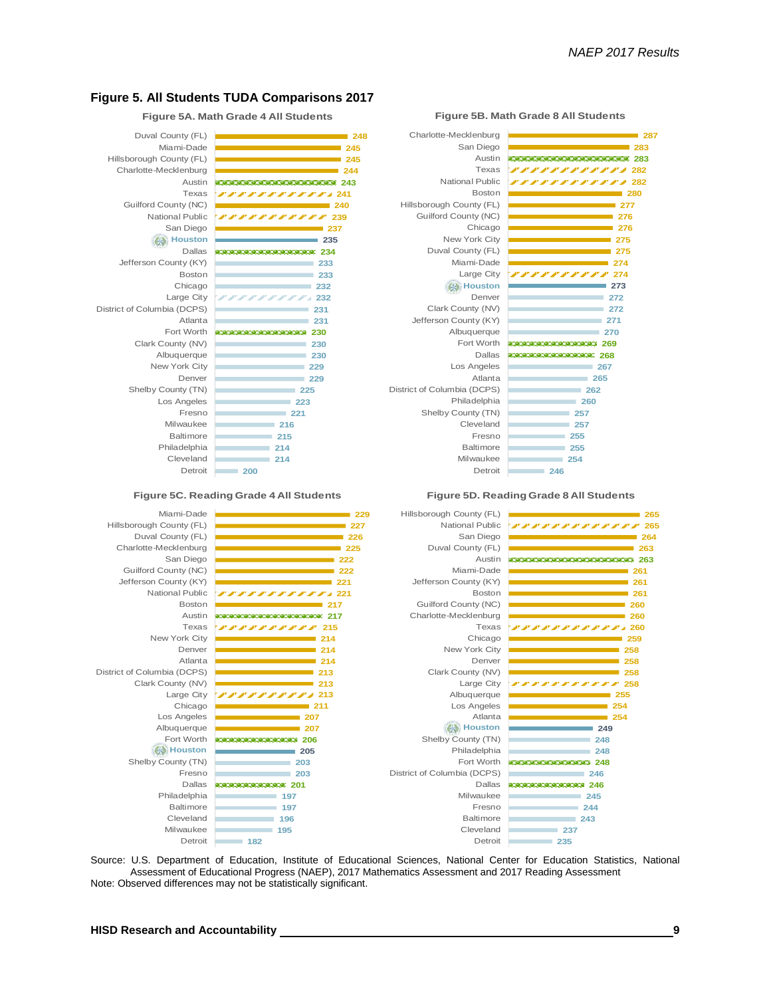

**Figure 5A. Math Grade 4 All Students**

**230 232 234 239 222222222222 243** Cleveland Philadelphia Baltimore Milwaukee Fresno Los Angeles Shelby County (TN) Denver New York City Albuquerque Clark County (NV) Fort Worth Atlanta District of Columbia (DCPS) Large City Chicago Boston Jefferson County (KY) Dallas Houston **Houston** San Diego National Public Guilford County (NC) Texas Austin Charlotte-Mecklenburg Hillsborough County (FL) Miami-Dade Duval County (FL)

**182** 195<sup>9</sup> **196 197**

**200 214 214 215 216 221 223 225** Detroit Milwaukee Baltimore Cleveland Shelby County (TN) **211** *222222222* **213 213 214 214 214 2158888888333** 2020020020020020020020020020020217 **217 22122222222222 221 222 222 225 226 227 229** Large City Atlanta Denver New York City Texas Austin Boston National Public Jefferson County (KY) Guilford County (NC) San Diego Charlotte-Mecklenburg Duval County (FL) Hillsborough County (FL) Miami-Dade **Figure 5C. Reading Grade 4 All Students**

> **207 207**

**229 229 230**

**230** 

**231 231** 

**232 233 233**

**235 237**

**240**

#### **197 201 203 203 205** anananananananananana 206 Baltimore Philadelphia Dallas Fresno Shelby County (TN) Houston **Houston** Fort Worth Albuquerque Los Angeles Chicago Clark County (NV) District of Columbia (DCPS)



**Figure 5B. Math Grade 8 All Students**



Detroit

Fresno

**246**



Source: U.S. Department of Education, Institute of Educational Sciences, National Center for Education Statistics, National Assessment of Educational Progress (NAEP), 2017 Mathematics Assessment and 2017 Reading Assessment Note: Observed differences may not be statistically significant.

Detroit **Detroit** Milwaukee Cleveland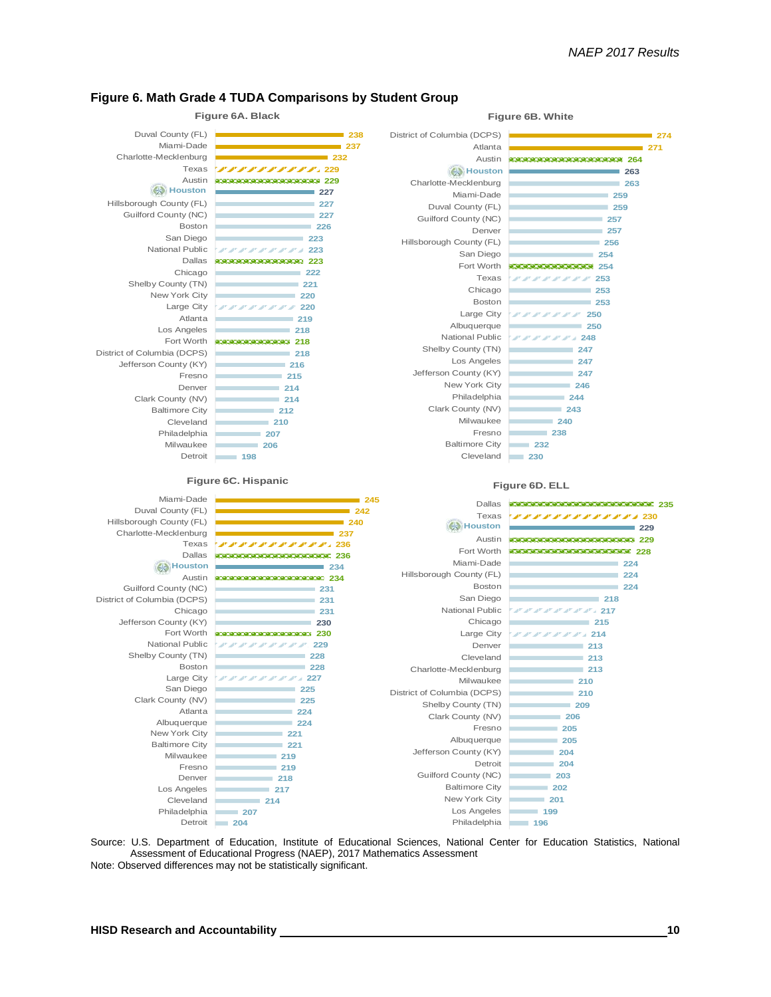

#### **Figure 6. Math Grade 4 TUDA Comparisons by Student Group**

Source: U.S. Department of Education, Institute of Educational Sciences, National Center for Education Statistics, National Assessment of Educational Progress (NAEP), 2017 Mathematics Assessment Note: Observed differences may not be statistically significant.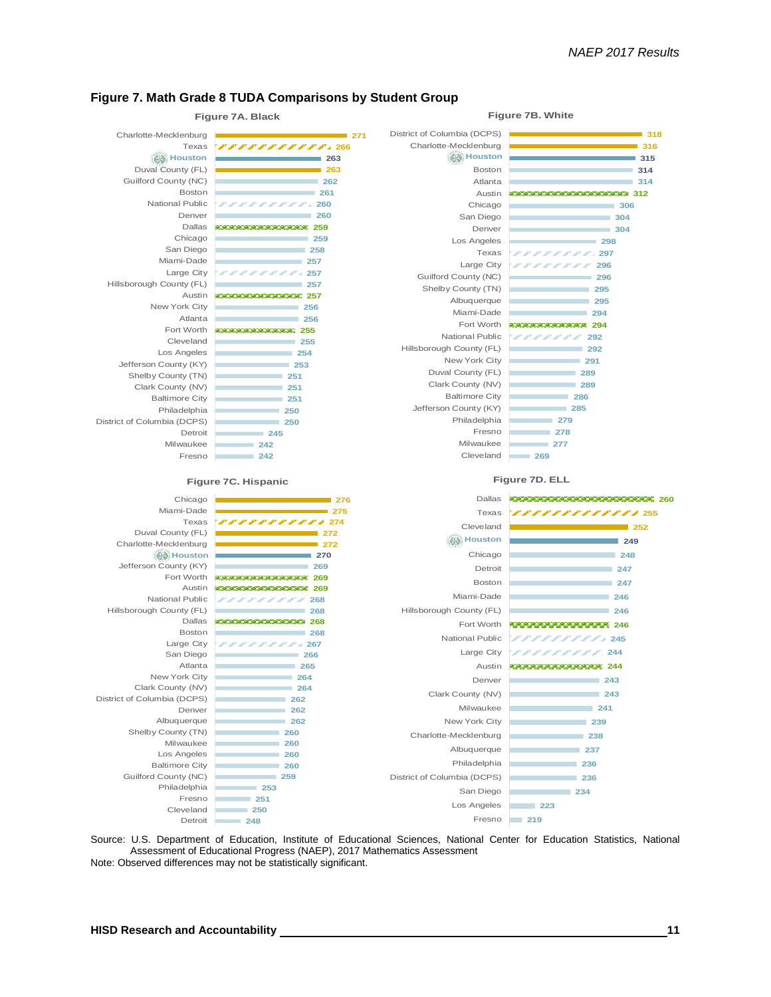#### **Figure 7. Math Grade 8 TUDA Comparisons by Student Group**



Source: U.S. Department of Education, Institute of Educational Sciences, National Center for Education Statistics, National Assessment of Educational Progress (NAEP), 2017 Mathematics Assessment Note: Observed differences may not be statistically significant.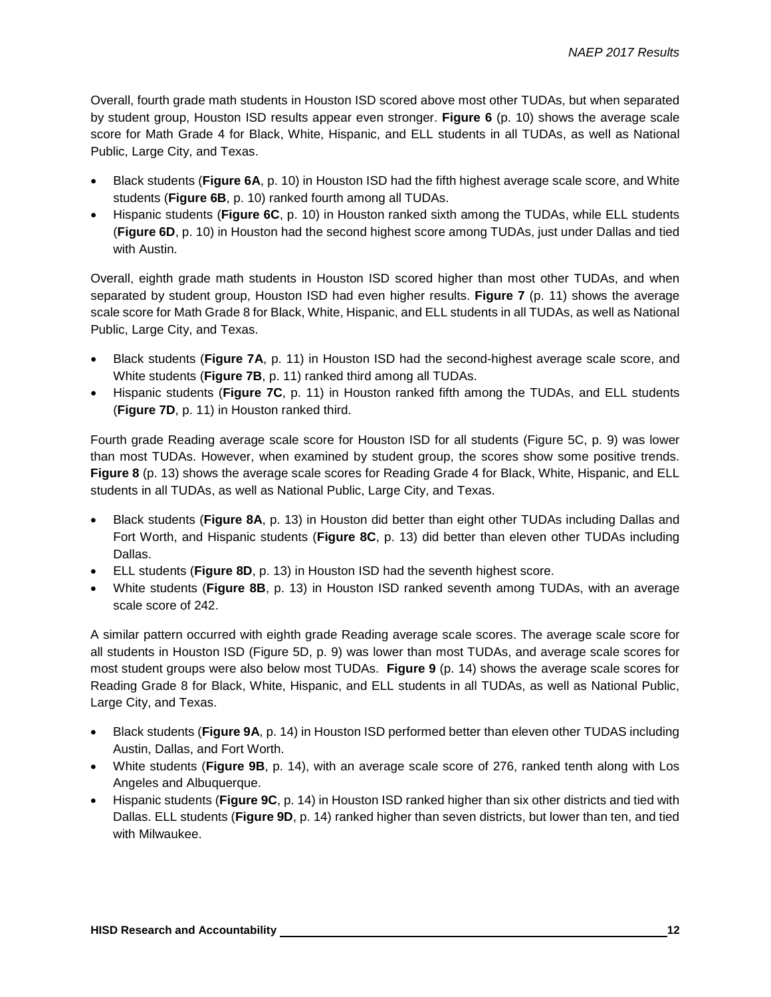Overall, fourth grade math students in Houston ISD scored above most other TUDAs, but when separated by student group, Houston ISD results appear even stronger. **Figure 6** (p. 10) shows the average scale score for Math Grade 4 for Black, White, Hispanic, and ELL students in all TUDAs, as well as National Public, Large City, and Texas.

- Black students (**Figure 6A**, p. 10) in Houston ISD had the fifth highest average scale score, and White students (**Figure 6B**, p. 10) ranked fourth among all TUDAs.
- Hispanic students (**Figure 6C**, p. 10) in Houston ranked sixth among the TUDAs, while ELL students (**Figure 6D**, p. 10) in Houston had the second highest score among TUDAs, just under Dallas and tied with Austin.

Overall, eighth grade math students in Houston ISD scored higher than most other TUDAs, and when separated by student group, Houston ISD had even higher results. **Figure 7** (p. 11) shows the average scale score for Math Grade 8 for Black, White, Hispanic, and ELL students in all TUDAs, as well as National Public, Large City, and Texas.

- Black students (**Figure 7A**, p. 11) in Houston ISD had the second-highest average scale score, and White students (**Figure 7B**, p. 11) ranked third among all TUDAs.
- Hispanic students (**Figure 7C**, p. 11) in Houston ranked fifth among the TUDAs, and ELL students (**Figure 7D**, p. 11) in Houston ranked third.

Fourth grade Reading average scale score for Houston ISD for all students (Figure 5C, p. 9) was lower than most TUDAs. However, when examined by student group, the scores show some positive trends. **Figure 8** (p. 13) shows the average scale scores for Reading Grade 4 for Black, White, Hispanic, and ELL students in all TUDAs, as well as National Public, Large City, and Texas.

- Black students (**Figure 8A**, p. 13) in Houston did better than eight other TUDAs including Dallas and Fort Worth, and Hispanic students (**Figure 8C**, p. 13) did better than eleven other TUDAs including Dallas.
- ELL students (**Figure 8D**, p. 13) in Houston ISD had the seventh highest score.
- White students (**Figure 8B**, p. 13) in Houston ISD ranked seventh among TUDAs, with an average scale score of 242.

A similar pattern occurred with eighth grade Reading average scale scores. The average scale score for all students in Houston ISD (Figure 5D, p. 9) was lower than most TUDAs, and average scale scores for most student groups were also below most TUDAs. **Figure 9** (p. 14) shows the average scale scores for Reading Grade 8 for Black, White, Hispanic, and ELL students in all TUDAs, as well as National Public, Large City, and Texas.

- Black students (**Figure 9A**, p. 14) in Houston ISD performed better than eleven other TUDAS including Austin, Dallas, and Fort Worth.
- White students (**Figure 9B**, p. 14), with an average scale score of 276, ranked tenth along with Los Angeles and Albuquerque.
- Hispanic students (**Figure 9C**, p. 14) in Houston ISD ranked higher than six other districts and tied with Dallas. ELL students (**Figure 9D**, p. 14) ranked higher than seven districts, but lower than ten, and tied with Milwaukee.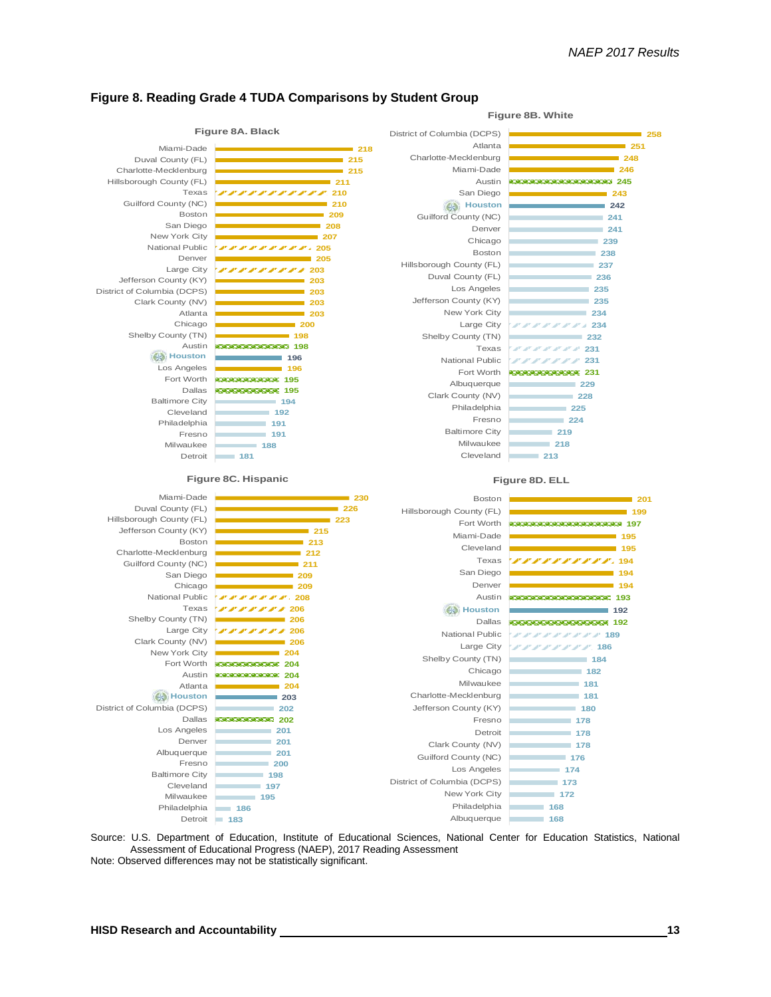**Figure 8B. White**



#### **Figure 8. Reading Grade 4 TUDA Comparisons by Student Group**

Source: U.S. Department of Education, Institute of Educational Sciences, National Center for Education Statistics, National Assessment of Educational Progress (NAEP), 2017 Reading Assessment Note: Observed differences may not be statistically significant.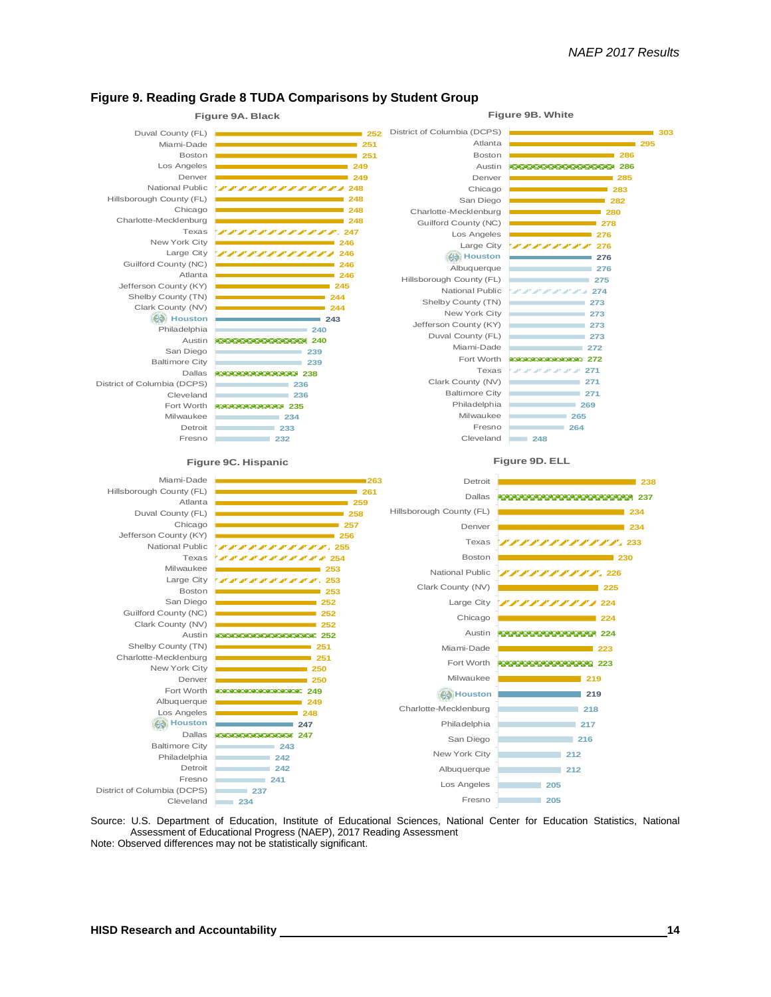

#### **Figure 9. Reading Grade 8 TUDA Comparisons by Student Group**

Source: U.S. Department of Education, Institute of Educational Sciences, National Center for Education Statistics, National Assessment of Educational Progress (NAEP), 2017 Reading Assessment Note: Observed differences may not be statistically significant.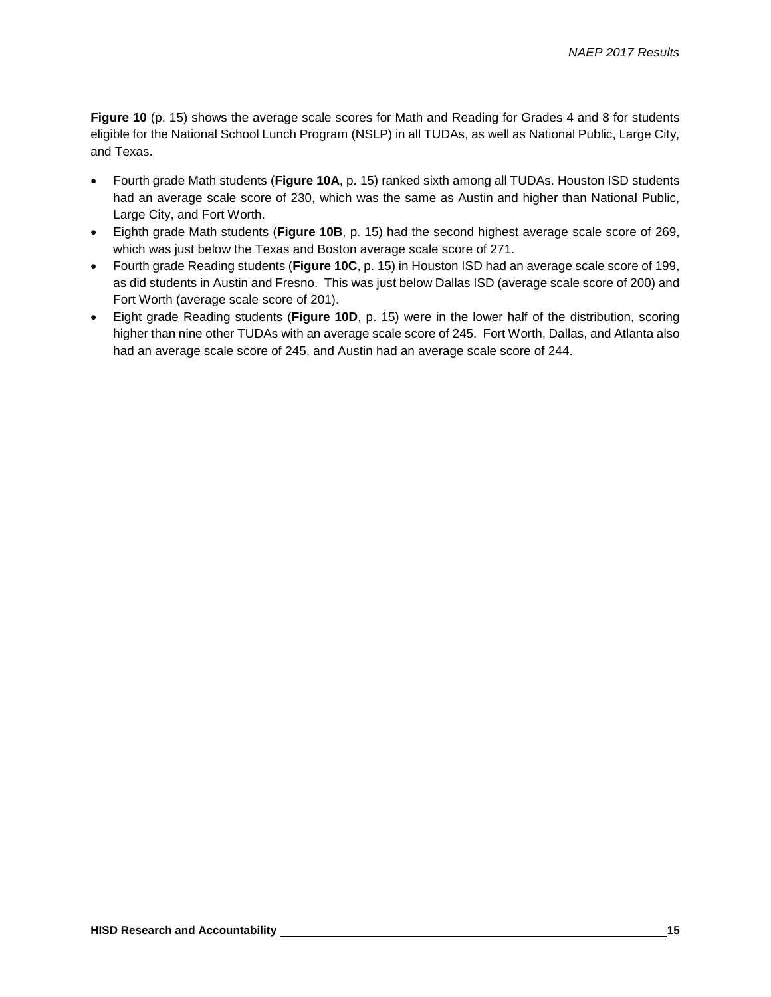**Figure 10** (p. 15) shows the average scale scores for Math and Reading for Grades 4 and 8 for students eligible for the National School Lunch Program (NSLP) in all TUDAs, as well as National Public, Large City, and Texas.

- Fourth grade Math students (**Figure 10A**, p. 15) ranked sixth among all TUDAs. Houston ISD students had an average scale score of 230, which was the same as Austin and higher than National Public, Large City, and Fort Worth.
- Eighth grade Math students (**Figure 10B**, p. 15) had the second highest average scale score of 269, which was just below the Texas and Boston average scale score of 271.
- Fourth grade Reading students (**Figure 10C**, p. 15) in Houston ISD had an average scale score of 199, as did students in Austin and Fresno. This was just below Dallas ISD (average scale score of 200) and Fort Worth (average scale score of 201).
- Eight grade Reading students (**Figure 10D**, p. 15) were in the lower half of the distribution, scoring higher than nine other TUDAs with an average scale score of 245. Fort Worth, Dallas, and Atlanta also had an average scale score of 245, and Austin had an average scale score of 244.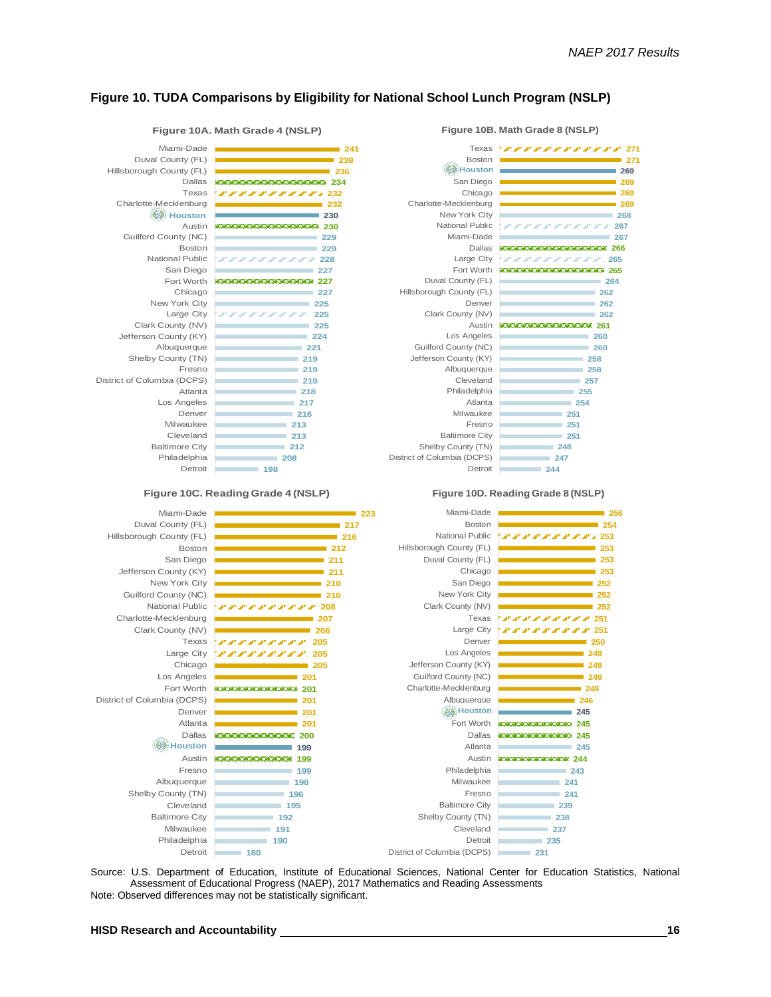**271**

#### **Figure 10. TUDA Comparisons by Eligibility for National School Lunch Program (NSLP)**

#### **247 248 251 251 251 254 255 257 258 258 260 260 261 262 262 262 264 265 265 266 267 287888888267 268 269 269 269 269 271** District of Columbia (DCPS) Shelby County (TN) Baltimore City Fresno Milwaukee Atlanta Philadelphia Cleveland Albuquerque Jefferson County (KY) Guilford County (NC) Los Angeles Austin Clark County (NV) Denver Hillsborough County (FL) Duval County (FL) Fort Worth Large City Dallas Miami-Dade National Public New York City Charlotte-Mecklenburg Chicago San Diego Houston **Houston** Boston Texas **Figure 10B. Math Grade 8 (NSLP)**

Detroit

**244**

**Figure 10D. Reading Grade 8 (NSLP)**

#### **Figure 10A. Math Grade 4 (NSLP)**

**225 227228282828282828282828 227 228 230 232 234**<br>234 Detroit Philadelphia Baltimore City Cleveland Milwaukee Denver Los Angeles Atlanta District of Columbia (DCPS) Fresno Shelby County (TN) Albuquerque Jefferson County (KY) Clark County (NV) Large City New York City Chicago Fort Worth San Diego National Public Boston Guilford County (NC) Austin Houston **Houston** Charlotte-Mecklenburg Texas Dallas Hillsborough County (FL) Duval County (FL) Miami-Dade

#### **Figure 10C. Reading Grade 4 (NSLP)**

**225 227**

**227**

**229 229** 

**230** 

**232**

**236 238 241**



Source: U.S. Department of Education, Institute of Educational Sciences, National Center for Education Statistics, National Assessment of Educational Progress (NAEP), 2017 Mathematics and Reading Assessments Note: Observed differences may not be statistically significant.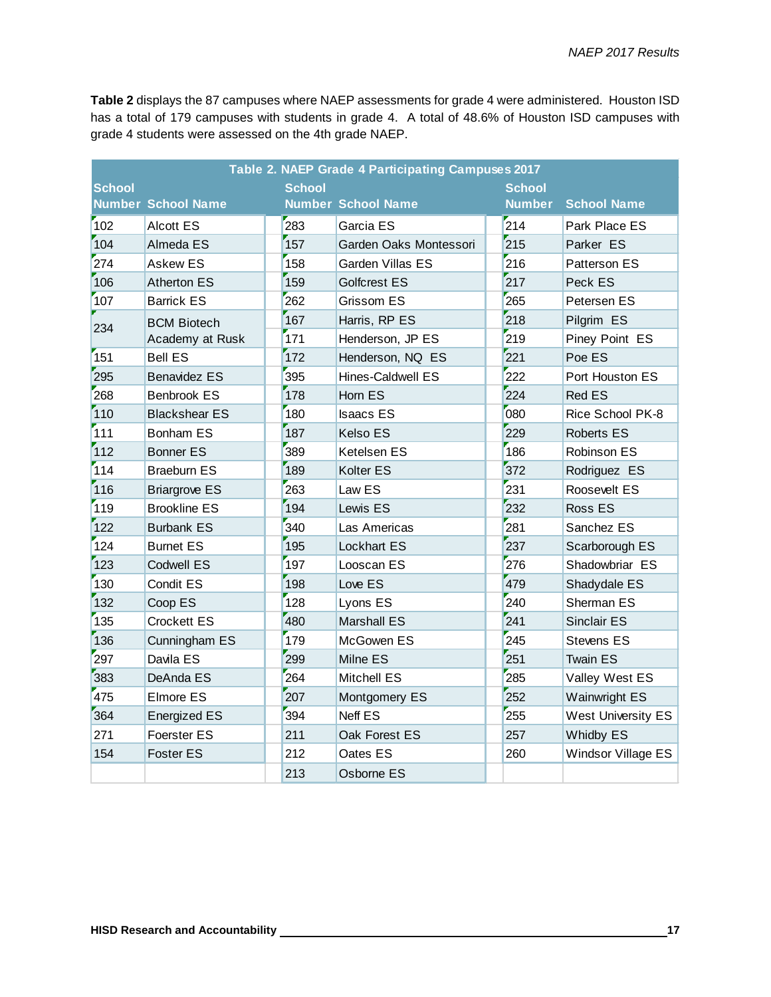**Table 2** displays the 87 campuses where NAEP assessments for grade 4 were administered. Houston ISD has a total of 179 campuses with students in grade 4. A total of 48.6% of Houston ISD campuses with grade 4 students were assessed on the 4th grade NAEP.

| Table 2. NAEP Grade 4 Participating Campuses 2017 |                           |     |                           |  |               |                    |  |  |
|---------------------------------------------------|---------------------------|-----|---------------------------|--|---------------|--------------------|--|--|
| <b>School</b>                                     |                           |     | <b>School</b>             |  |               | <b>School</b>      |  |  |
|                                                   | <b>Number School Name</b> |     | <b>Number School Name</b> |  | <b>Number</b> | <b>School Name</b> |  |  |
| 102                                               | <b>Alcott ES</b>          | 283 | Garcia ES                 |  | 214           | Park Place ES      |  |  |
| 104                                               | Almeda ES                 | 157 | Garden Oaks Montessori    |  | 215           | Parker ES          |  |  |
| 274                                               | <b>Askew ES</b>           | 158 | Garden Villas ES          |  | 216           | Patterson ES       |  |  |
| 106                                               | <b>Atherton ES</b>        | 159 | Golfcrest ES              |  | 217           | Peck ES            |  |  |
| 107                                               | <b>Barrick ES</b>         | 262 | Grissom ES                |  | 265           | Petersen ES        |  |  |
| 234                                               | <b>BCM Biotech</b>        | 167 | Harris, RP ES             |  | 218           | Pilgrim ES         |  |  |
|                                                   | Academy at Rusk           | 171 | Henderson, JP ES          |  | 219           | Piney Point ES     |  |  |
| 151                                               | <b>Bell ES</b>            | 172 | Henderson, NQ ES          |  | 221           | Poe ES             |  |  |
| 295                                               | <b>Benavidez ES</b>       | 395 | Hines-Caldwell ES         |  | 222           | Port Houston ES    |  |  |
| 268                                               | <b>Benbrook ES</b>        | 178 | Horn ES                   |  | 224           | <b>Red ES</b>      |  |  |
| 110                                               | <b>Blackshear ES</b>      | 180 | <b>Isaacs ES</b>          |  | 080           | Rice School PK-8   |  |  |
| 111                                               | <b>Bonham ES</b>          | 187 | Kelso ES                  |  | 229           | <b>Roberts ES</b>  |  |  |
| 112                                               | <b>Bonner ES</b>          | 389 | Ketelsen ES               |  | 186           | Robinson ES        |  |  |
| 114                                               | <b>Braeburn ES</b>        | 189 | Kolter ES                 |  | 372           | Rodriguez ES       |  |  |
| 116                                               | <b>Briargrove ES</b>      | 263 | Law ES                    |  | 231           | Roosevelt ES       |  |  |
| 119                                               | <b>Brookline ES</b>       | 194 | Lewis ES                  |  | 232           | Ross ES            |  |  |
| 122                                               | <b>Burbank ES</b>         | 340 | Las Americas              |  | 281           | Sanchez ES         |  |  |
| 124                                               | <b>Burnet ES</b>          | 195 | Lockhart ES               |  | 237           | Scarborough ES     |  |  |
| 123                                               | <b>Codwell ES</b>         | 197 | Looscan ES                |  | 276           | Shadowbriar ES     |  |  |
| 130                                               | Condit ES                 | 198 | Love ES                   |  | 479           | Shadydale ES       |  |  |
| 132                                               | Coop ES                   | 128 | Lyons ES                  |  | 240           | Sherman ES         |  |  |
| 135                                               | <b>Crockett ES</b>        | 480 | <b>Marshall ES</b>        |  | 241           | <b>Sinclair ES</b> |  |  |
| 136                                               | Cunningham ES             | 179 | McGowen ES                |  | 245           | Stevens ES         |  |  |
| 297                                               | Davila ES                 | 299 | Milne ES                  |  | 251           | <b>Twain ES</b>    |  |  |
| 383                                               | DeAnda ES                 | 264 | <b>Mitchell ES</b>        |  | 285           | Valley West ES     |  |  |
| 475                                               | Elmore ES                 | 207 | Montgomery ES             |  | 252           | Wainwright ES      |  |  |
| 364                                               | <b>Energized ES</b>       | 394 | Neff ES                   |  | 255           | West University ES |  |  |
| 271                                               | <b>Foerster ES</b>        | 211 | Oak Forest ES             |  | 257           | <b>Whidby ES</b>   |  |  |
| 154                                               | <b>Foster ES</b>          | 212 | Oates ES                  |  | 260           | Windsor Village ES |  |  |
|                                                   |                           | 213 | Osborne ES                |  |               |                    |  |  |